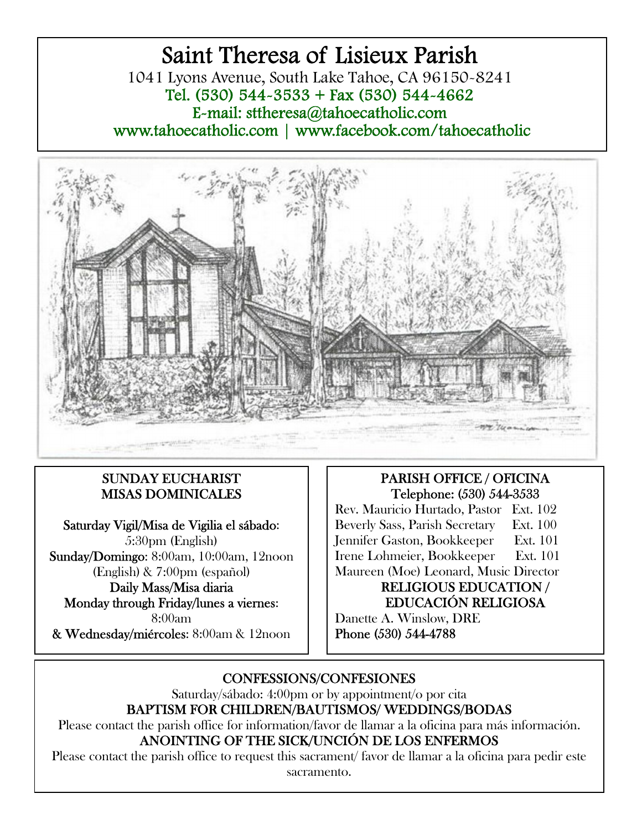# Saint Theresa of Lisieux Parish 1041 Lyons Avenue, South Lake Tahoe, CA 96150-8241 Tel. (530) 544-3533 + Fax (530) 544-4662 E-mail: sttheresa@tahoecatholic.com www.tahoecatholic.com | www.facebook.com/tahoecatholic



## SUNDAY EUCHARIST MISAS DOMINICALES

Saturday Vigil/Misa de Vigilia el sábado: 5:30pm (English) Sunday/Domingo: 8:00am, 10:00am, 12noon (English) & 7:00pm (español) Daily Mass/Misa diaria Monday through Friday/lunes a viernes: 8:00am & Wednesday/miércoles: 8:00am & 12noon

# PARISH OFFICE / OFICINA Telephone: (530) 544-3533

Rev. Mauricio Hurtado, Pastor Ext. 102 Beverly Sass, Parish Secretary Ext. 100 Jennifer Gaston, Bookkeeper Ext. 101 Irene Lohmeier, Bookkeeper Ext. 101 Maureen (Moe) Leonard, Music Director

#### RELIGIOUS EDUCATION / EDUCACIÓN RELIGIOSA

Danette A. Winslow, DRE Phone (530) 544-4788

# CONFESSIONS/CONFESIONES

Saturday/sábado: 4:00pm or by appointment/o por cita

BAPTISM FOR CHILDREN/BAUTISMOS/ WEDDINGS/BODAS

Please contact the parish office for information/favor de llamar a la oficina para más información. ANOINTING OF THE SICK/UNCIÓN DE LOS ENFERMOS

Please contact the parish office to request this sacrament/ favor de llamar a la oficina para pedir este sacramento.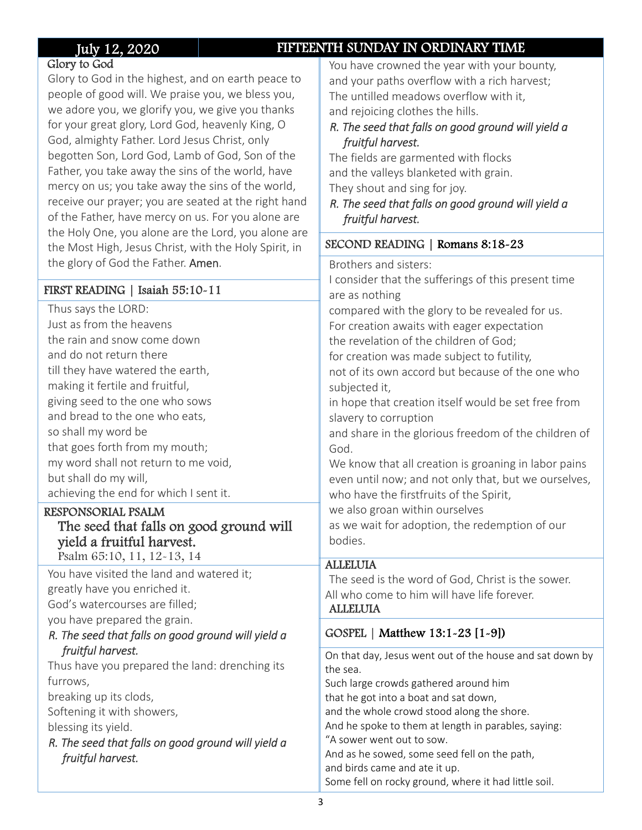# July 12, 2020 FIFTEENTH SUNDAY IN ORDINARY TIME

#### Glory to God

Glory to God in the highest, and on earth peace to people of good will. We praise you, we bless you, we adore you, we glorify you, we give you thanks for your great glory, Lord God, heavenly King, O God, almighty Father. Lord Jesus Christ, only begotten Son, Lord God, Lamb of God, Son of the Father, you take away the sins of the world, have mercy on us; you take away the sins of the world, receive our prayer; you are seated at the right hand of the Father, have mercy on us. For you alone are the Holy One, you alone are the Lord, you alone are the Most High, Jesus Christ, with the Holy Spirit, in the glory of God the Father. Amen.

#### FIRST READING | Isaiah 55:10-11

Thus says the LORD: Just as from the heavens the rain and snow come down and do not return there till they have watered the earth, making it fertile and fruitful, giving seed to the one who sows and bread to the one who eats, so shall my word be that goes forth from my mouth; my word shall not return to me void, but shall do my will, achieving the end for which I sent it.

#### RESPONSORIAL PSALM

#### The seed that falls on good ground will yield a fruitful harvest. Psalm 65:10, 11, 12-13, 14

You have visited the land and watered it; greatly have you enriched it. God's watercourses are filled; you have prepared the grain.

### *R. The seed that falls on good ground will yield a fruitful harvest.*

Thus have you prepared the land: drenching its furrows,

breaking up its clods, Softening it with showers,

blessing its yield.

*R. The seed that falls on good ground will yield a fruitful harvest.* 

You have crowned the year with your bounty, and your paths overflow with a rich harvest; The untilled meadows overflow with it, and rejoicing clothes the hills.

#### *R. The seed that falls on good ground will yield a fruitful harvest.*

The fields are garmented with flocks and the valleys blanketed with grain. They shout and sing for joy.

*R. The seed that falls on good ground will yield a fruitful harvest.* 

#### SECOND READING | Romans 8:18-23

Brothers and sisters:

I consider that the sufferings of this present time are as nothing compared with the glory to be revealed for us. For creation awaits with eager expectation the revelation of the children of God; for creation was made subject to futility,

not of its own accord but because of the one who subjected it,

in hope that creation itself would be set free from slavery to corruption

and share in the glorious freedom of the children of God.

We know that all creation is groaning in labor pains even until now; and not only that, but we ourselves, who have the firstfruits of the Spirit,

we also groan within ourselves

as we wait for adoption, the redemption of our bodies.

### **ALLELUIA**

The seed is the word of God, Christ is the sower. All who come to him will have life forever. ALLELUIA

## GOSPEL | Matthew 13:1-23 [1-9])

On that day, Jesus went out of the house and sat down by the sea. Such large crowds gathered around him that he got into a boat and sat down, and the whole crowd stood along the shore. And he spoke to them at length in parables, saying: "A sower went out to sow. And as he sowed, some seed fell on the path, and birds came and ate it up. Some fell on rocky ground, where it had little soil.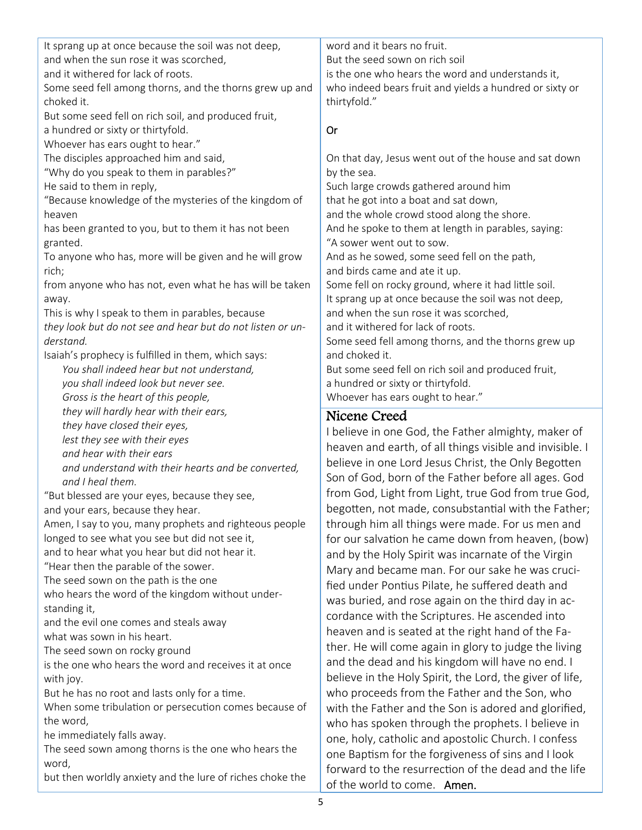| It sprang up at once because the soil was not deep,        | word and it bears no fruit.                                                                             |
|------------------------------------------------------------|---------------------------------------------------------------------------------------------------------|
| and when the sun rose it was scorched,                     | But the seed sown on rich soil                                                                          |
| and it withered for lack of roots.                         | is the one who hears the word and understands it,                                                       |
| Some seed fell among thorns, and the thorns grew up and    | who indeed bears fruit and yields a hundred or sixty or                                                 |
| choked it.                                                 | thirtyfold."                                                                                            |
| But some seed fell on rich soil, and produced fruit,       |                                                                                                         |
| a hundred or sixty or thirtyfold.                          | Or                                                                                                      |
| Whoever has ears ought to hear."                           |                                                                                                         |
| The disciples approached him and said,                     | On that day, Jesus went out of the house and sat down                                                   |
| "Why do you speak to them in parables?"                    | by the sea.                                                                                             |
| He said to them in reply,                                  | Such large crowds gathered around him                                                                   |
| "Because knowledge of the mysteries of the kingdom of      | that he got into a boat and sat down,                                                                   |
| heaven                                                     | and the whole crowd stood along the shore.                                                              |
| has been granted to you, but to them it has not been       | And he spoke to them at length in parables, saying:                                                     |
| granted.                                                   | "A sower went out to sow.                                                                               |
| To anyone who has, more will be given and he will grow     | And as he sowed, some seed fell on the path,                                                            |
| rich;                                                      | and birds came and ate it up.                                                                           |
| from anyone who has not, even what he has will be taken    | Some fell on rocky ground, where it had little soil.                                                    |
| away.                                                      | It sprang up at once because the soil was not deep,                                                     |
| This is why I speak to them in parables, because           | and when the sun rose it was scorched,                                                                  |
| they look but do not see and hear but do not listen or un- | and it withered for lack of roots.                                                                      |
| derstand.                                                  | Some seed fell among thorns, and the thorns grew up                                                     |
| Isaiah's prophecy is fulfilled in them, which says:        | and choked it.                                                                                          |
| You shall indeed hear but not understand,                  | But some seed fell on rich soil and produced fruit,                                                     |
|                                                            |                                                                                                         |
| you shall indeed look but never see.                       | a hundred or sixty or thirtyfold.                                                                       |
| Gross is the heart of this people,                         | Whoever has ears ought to hear."                                                                        |
| they will hardly hear with their ears,                     | Nicene Creed                                                                                            |
| they have closed their eyes,                               | I believe in one God, the Father almighty, maker of                                                     |
| lest they see with their eyes                              | heaven and earth, of all things visible and invisible. I                                                |
| and hear with their ears                                   | believe in one Lord Jesus Christ, the Only Begotten                                                     |
| and understand with their hearts and be converted,         |                                                                                                         |
|                                                            |                                                                                                         |
| and I heal them.                                           | Son of God, born of the Father before all ages. God                                                     |
| "But blessed are your eyes, because they see,              | from God, Light from Light, true God from true God,                                                     |
| and your ears, because they hear.                          |                                                                                                         |
| Amen, I say to you, many prophets and righteous people     | begotten, not made, consubstantial with the Father;<br>through him all things were made. For us men and |
| longed to see what you see but did not see it,             | for our salvation he came down from heaven, (bow)                                                       |
| and to hear what you hear but did not hear it.             | and by the Holy Spirit was incarnate of the Virgin                                                      |
| "Hear then the parable of the sower.                       | Mary and became man. For our sake he was cruci-                                                         |
| The seed sown on the path is the one                       | fied under Pontius Pilate, he suffered death and                                                        |
| who hears the word of the kingdom without under-           |                                                                                                         |
| standing it,                                               | was buried, and rose again on the third day in ac-                                                      |
| and the evil one comes and steals away                     | cordance with the Scriptures. He ascended into                                                          |
| what was sown in his heart.                                | heaven and is seated at the right hand of the Fa-                                                       |
| The seed sown on rocky ground                              | ther. He will come again in glory to judge the living                                                   |
| is the one who hears the word and receives it at once      | and the dead and his kingdom will have no end. I                                                        |
| with joy.                                                  | believe in the Holy Spirit, the Lord, the giver of life,                                                |
| But he has no root and lasts only for a time.              | who proceeds from the Father and the Son, who                                                           |
| When some tribulation or persecution comes because of      | with the Father and the Son is adored and glorified,                                                    |
| the word,                                                  | who has spoken through the prophets. I believe in                                                       |
| he immediately falls away.                                 |                                                                                                         |
| The seed sown among thorns is the one who hears the        | one, holy, catholic and apostolic Church. I confess                                                     |
| word,                                                      | one Baptism for the forgiveness of sins and I look                                                      |
| but then worldly anxiety and the lure of riches choke the  | forward to the resurrection of the dead and the life<br>of the world to come. Amen.                     |